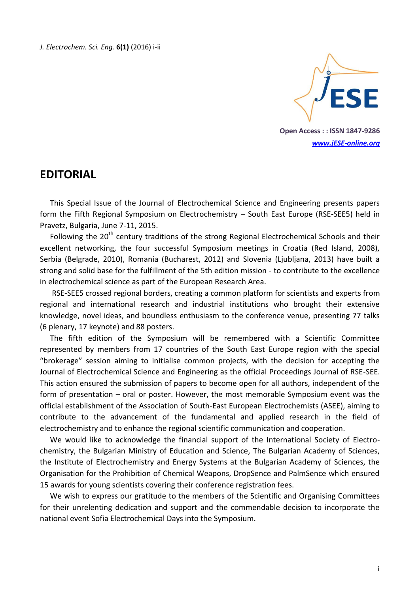

**Open Access : : ISSN 1847-9286** *[www.jESE-online.org](http://www.jese-online.org/)*

## **EDITORIAL**

This Special Issue of the Journal of Electrochemical Science and Engineering presents papers form the Fifth Regional Symposium on Electrochemistry – South East Europe (RSE-SEE5) held in Pravetz, Bulgaria, June 7-11, 2015.

Following the 20<sup>th</sup> century traditions of the strong Regional Electrochemical Schools and their excellent networking, the four successful Symposium meetings in Croatia (Red Island, 2008), Serbia (Belgrade, 2010), Romania (Bucharest, 2012) and Slovenia (Ljubljana, 2013) have built a strong and solid base for the fulfillment of the 5th edition mission - to contribute to the excellence in electrochemical science as part of the European Research Area.

RSE-SEE5 crossed regional borders, creating a common platform for scientists and experts from regional and international research and industrial institutions who brought their extensive knowledge, novel ideas, and boundless enthusiasm to the conference venue, presenting 77 talks (6 plenary, 17 keynote) and 88 posters.

The fifth edition of the Symposium will be remembered with a Scientific Committee represented by members from 17 countries of the South East Europe region with the special "brokerage" session aiming to initialise common projects, with the decision for accepting the Journal of Electrochemical Science and Engineering as the official Proceedings Journal of RSE-SEE. This action ensured the submission of papers to become open for all authors, independent of the form of presentation – oral or poster. However, the most memorable Symposium event was the official establishment of the Association of South-East European Electrochemists (ASEE), aiming to contribute to the advancement of the fundamental and applied research in the field of electrochemistry and to enhance the regional scientific communication and cooperation.

We would like to acknowledge the financial support of the International Society of Electrochemistry, the Bulgarian Ministry of Education and Science, The Bulgarian Academy of Sciences, the Institute of Electrochemistry and Energy Systems at the Bulgarian Academy of Sciences, the Organisation for the Prohibition of Chemical Weapons, DropSence and PalmSence which ensured 15 awards for young scientists covering their conference registration fees.

We wish to express our gratitude to the members of the Scientific and Organising Committees for their unrelenting dedication and support and the commendable decision to incorporate the national event Sofia Electrochemical Days into the Symposium.